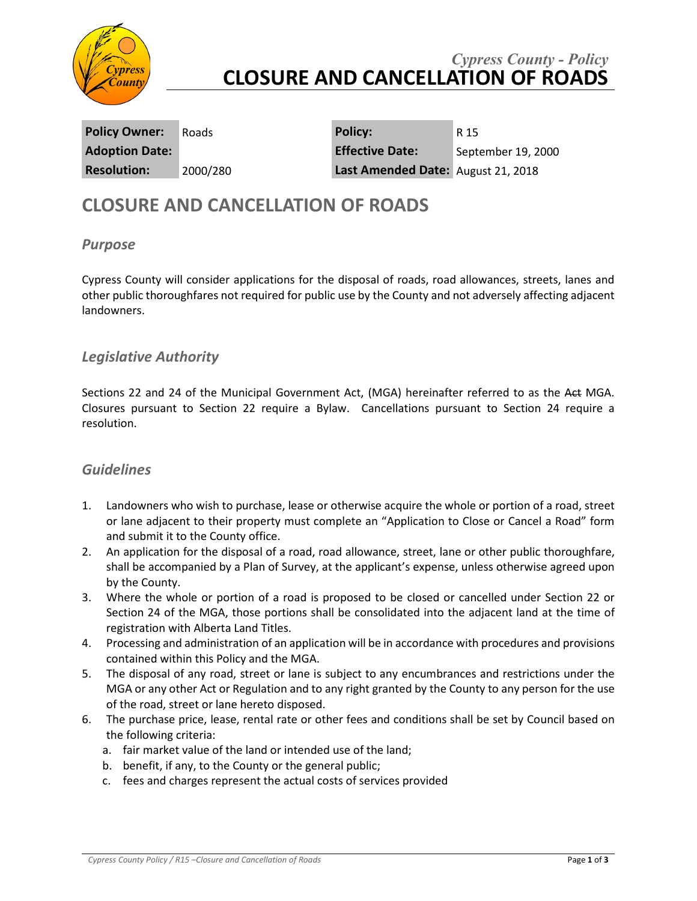

# *Cypress County - Policy* **CLOSURE AND CANCELLATION OF ROADS**

**Policy Owner:** Roads **Policy:** R 15

**Adoption Date: Effective Date:** September 19, 2000 **Resolution:** 2000/280 **Last Amended Date:** August 21, 2018

# **CLOSURE AND CANCELLATION OF ROADS**

#### *Purpose*

Cypress County will consider applications for the disposal of roads, road allowances, streets, lanes and other public thoroughfares not required for public use by the County and not adversely affecting adjacent landowners.

### *Legislative Authority*

Sections 22 and 24 of the Municipal Government Act, (MGA) hereinafter referred to as the Act MGA. Closures pursuant to Section 22 require a Bylaw. Cancellations pursuant to Section 24 require a resolution.

#### *Guidelines*

- 1. Landowners who wish to purchase, lease or otherwise acquire the whole or portion of a road, street or lane adjacent to their property must complete an "Application to Close or Cancel a Road" form and submit it to the County office.
- 2. An application for the disposal of a road, road allowance, street, lane or other public thoroughfare, shall be accompanied by a Plan of Survey, at the applicant's expense, unless otherwise agreed upon by the County.
- 3. Where the whole or portion of a road is proposed to be closed or cancelled under Section 22 or Section 24 of the MGA, those portions shall be consolidated into the adjacent land at the time of registration with Alberta Land Titles.
- 4. Processing and administration of an application will be in accordance with procedures and provisions contained within this Policy and the MGA.
- 5. The disposal of any road, street or lane is subject to any encumbrances and restrictions under the MGA or any other Act or Regulation and to any right granted by the County to any person for the use of the road, street or lane hereto disposed.
- 6. The purchase price, lease, rental rate or other fees and conditions shall be set by Council based on the following criteria:
	- a. fair market value of the land or intended use of the land;
	- b. benefit, if any, to the County or the general public;
	- c. fees and charges represent the actual costs of services provided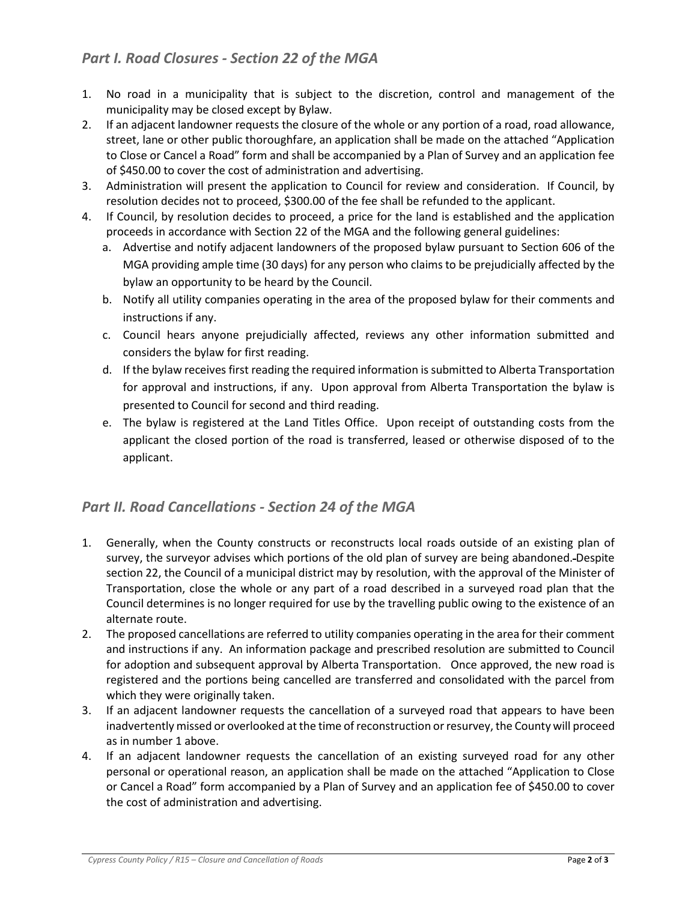## *Part I. Road Closures - Section 22 of the MGA*

- 1. No road in a municipality that is subject to the discretion, control and management of the municipality may be closed except by Bylaw.
- 2. If an adjacent landowner requests the closure of the whole or any portion of a road, road allowance, street, lane or other public thoroughfare, an application shall be made on the attached "Application to Close or Cancel a Road" form and shall be accompanied by a Plan of Survey and an application fee of \$450.00 to cover the cost of administration and advertising.
- 3. Administration will present the application to Council for review and consideration. If Council, by resolution decides not to proceed, \$300.00 of the fee shall be refunded to the applicant.
- 4. If Council, by resolution decides to proceed, a price for the land is established and the application proceeds in accordance with Section 22 of the MGA and the following general guidelines:
	- a. Advertise and notify adjacent landowners of the proposed bylaw pursuant to Section 606 of the MGA providing ample time (30 days) for any person who claims to be prejudicially affected by the bylaw an opportunity to be heard by the Council.
	- b. Notify all utility companies operating in the area of the proposed bylaw for their comments and instructions if any.
	- c. Council hears anyone prejudicially affected, reviews any other information submitted and considers the bylaw for first reading.
	- d. If the bylaw receives first reading the required information is submitted to Alberta Transportation for approval and instructions, if any. Upon approval from Alberta Transportation the bylaw is presented to Council for second and third reading.
	- e. The bylaw is registered at the Land Titles Office. Upon receipt of outstanding costs from the applicant the closed portion of the road is transferred, leased or otherwise disposed of to the applicant.

### *Part II. Road Cancellations - Section 24 of the MGA*

- 1. Generally, when the County constructs or reconstructs local roads outside of an existing plan of survey, the surveyor advises which portions of the old plan of survey are being abandoned. Despite section 22, the Council of a municipal district may by resolution, with the approval of the Minister of Transportation, close the whole or any part of a road described in a surveyed road plan that the Council determines is no longer required for use by the travelling public owing to the existence of an alternate route.
- 2. The proposed cancellations are referred to utility companies operating in the area for their comment and instructions if any. An information package and prescribed resolution are submitted to Council for adoption and subsequent approval by Alberta Transportation. Once approved, the new road is registered and the portions being cancelled are transferred and consolidated with the parcel from which they were originally taken.
- 3. If an adjacent landowner requests the cancellation of a surveyed road that appears to have been inadvertently missed or overlooked at the time of reconstruction or resurvey, the County will proceed as in number 1 above.
- 4. If an adjacent landowner requests the cancellation of an existing surveyed road for any other personal or operational reason, an application shall be made on the attached "Application to Close or Cancel a Road" form accompanied by a Plan of Survey and an application fee of \$450.00 to cover the cost of administration and advertising.